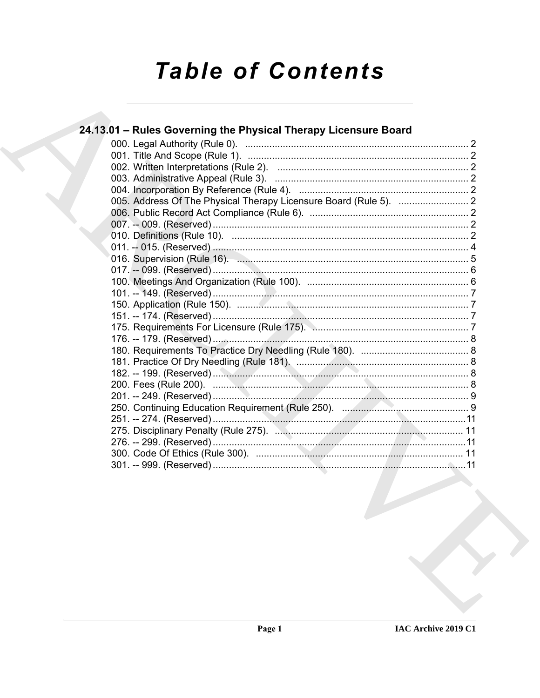# **Table of Contents**

| 24.13.01 - Rules Governing the Physical Therapy Licensure Board |  |
|-----------------------------------------------------------------|--|
|                                                                 |  |
|                                                                 |  |
|                                                                 |  |
|                                                                 |  |
|                                                                 |  |
|                                                                 |  |
|                                                                 |  |
|                                                                 |  |
|                                                                 |  |
|                                                                 |  |
|                                                                 |  |
|                                                                 |  |
|                                                                 |  |
|                                                                 |  |
|                                                                 |  |
|                                                                 |  |
|                                                                 |  |
|                                                                 |  |
|                                                                 |  |
|                                                                 |  |
|                                                                 |  |
|                                                                 |  |
|                                                                 |  |
|                                                                 |  |
|                                                                 |  |
|                                                                 |  |
|                                                                 |  |
|                                                                 |  |
|                                                                 |  |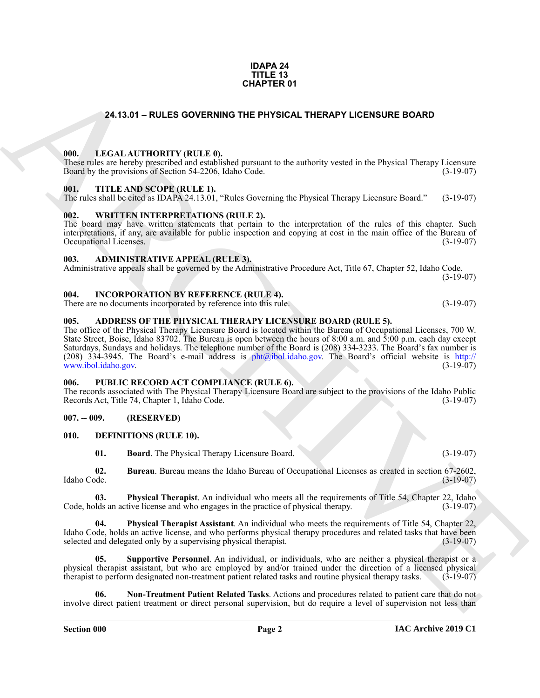#### **IDAPA 24 TITLE 13 CHAPTER 01**

### <span id="page-1-20"></span><span id="page-1-0"></span>**24.13.01 – RULES GOVERNING THE PHYSICAL THERAPY LICENSURE BOARD**

#### <span id="page-1-1"></span>**000. LEGAL AUTHORITY (RULE 0).**

These rules are hereby prescribed and established pursuant to the authority vested in the Physical Therapy Licensure Board by the provisions of Section 54-2206, Idaho Code. (3-19-07)

#### <span id="page-1-22"></span><span id="page-1-2"></span>**001. TITLE AND SCOPE (RULE 1).**

The rules shall be cited as IDAPA 24.13.01, "Rules Governing the Physical Therapy Licensure Board." (3-19-07)

#### <span id="page-1-23"></span><span id="page-1-3"></span>**002. WRITTEN INTERPRETATIONS (RULE 2).**

The board may have written statements that pertain to the interpretation of the rules of this chapter. Such interpretations, if any, are available for public inspection and copying at cost in the main office of the Bureau of Occupational Licenses. (3-19-07) Occupational Licenses.

#### <span id="page-1-11"></span><span id="page-1-4"></span>**003. ADMINISTRATIVE APPEAL (RULE 3).**

Administrative appeals shall be governed by the Administrative Procedure Act, Title 67, Chapter 52, Idaho Code. (3-19-07)

#### <span id="page-1-19"></span><span id="page-1-5"></span>**004. INCORPORATION BY REFERENCE (RULE 4).**

There are no documents incorporated by reference into this rule. (3-19-07)

#### <span id="page-1-10"></span><span id="page-1-6"></span>**005. ADDRESS OF THE PHYSICAL THERAPY LICENSURE BOARD (RULE 5).**

**24.13.01 – RULES OVERINNO THE PHYSICAL THERAPY LICENSURE BOARD<br>
1991. LECAL ALTHORITY (RULE P), had paramete the authority vented in the Physical Therapy License<br>
1991. THE ANS SCOPE RULE R).<br>
1991. THE ANS SCOPE RULE R)** The office of the Physical Therapy Licensure Board is located within the Bureau of Occupational Licenses, 700 W. State Street, Boise, Idaho 83702. The Bureau is open between the hours of 8:00 a.m. and 5:00 p.m. each day except Saturdays, Sundays and holidays. The telephone number of the Board is (208) 334-3233. The Board's fax number is (208) 334-3945. The Board's e-mail address is  $phi@ibol.idaho.gov$ . The Board's official website is http:// www.ibol.idaho.gov. (3-19-07)

#### <span id="page-1-21"></span><span id="page-1-7"></span>**006. PUBLIC RECORD ACT COMPLIANCE (RULE 6).**

The records associated with The Physical Therapy Licensure Board are subject to the provisions of the Idaho Public Records Act, Title 74, Chapter 1, Idaho Code. (3-19-07)

#### <span id="page-1-8"></span>**007. -- 009. (RESERVED)**

#### <span id="page-1-9"></span>**010. DEFINITIONS (RULE 10).**

<span id="page-1-16"></span><span id="page-1-14"></span><span id="page-1-13"></span><span id="page-1-12"></span>**01. Board**. The Physical Therapy Licensure Board. (3-19-07)

**02. Bureau**. Bureau means the Idaho Bureau of Occupational Licenses as created in section 67-2602, Idaho Code. (3-19-07)

**03. Physical Therapist**. An individual who meets all the requirements of Title 54, Chapter 22, Idaho lds an active license and who engages in the practice of physical therapy. (3-19-07) Code, holds an active license and who engages in the practice of physical therapy.

<span id="page-1-17"></span>**04. Physical Therapist Assistant**. An individual who meets the requirements of Title 54, Chapter 22, Idaho Code, holds an active license, and who performs physical therapy procedures and related tasks that have been selected and delegated only by a supervising physical therapist. (3-19-07)

<span id="page-1-18"></span>**05.** Supportive Personnel. An individual, or individuals, who are neither a physical therapist or a physical therapist assistant, but who are employed by and/or trained under the direction of a licensed physical therapist to perform designated non-treatment patient related tasks and routine physical therapy tasks. (3-19therapist to perform designated non-treatment patient related tasks and routine physical therapy tasks.

<span id="page-1-15"></span>**06. Non-Treatment Patient Related Tasks**. Actions and procedures related to patient care that do not involve direct patient treatment or direct personal supervision, but do require a level of supervision not less than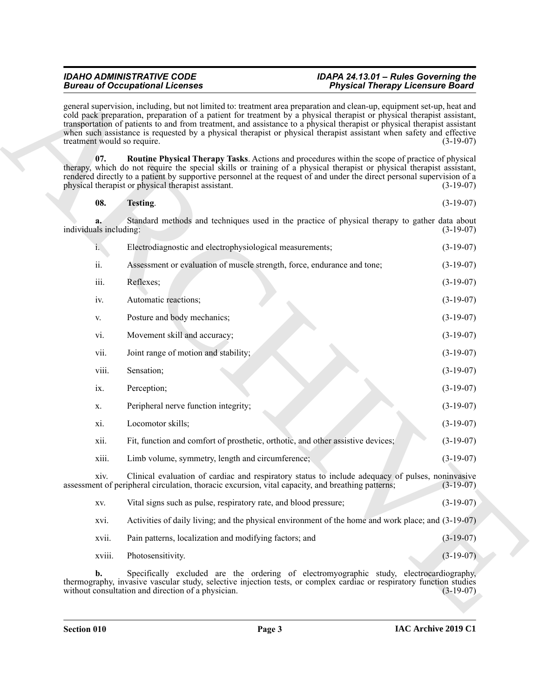<span id="page-2-1"></span><span id="page-2-0"></span>

| 08. | Testing. | $(3-19-07)$ |
|-----|----------|-------------|
|-----|----------|-------------|

|                             | <b>Bureau of Occupational Licenses</b>                                                                                                                                                                                                                                                                                                                                                                                                                                                               | <b>Physical Therapy Licensure Board</b> |
|-----------------------------|------------------------------------------------------------------------------------------------------------------------------------------------------------------------------------------------------------------------------------------------------------------------------------------------------------------------------------------------------------------------------------------------------------------------------------------------------------------------------------------------------|-----------------------------------------|
| treatment would so require. | general supervision, including, but not limited to: treatment area preparation and clean-up, equipment set-up, heat and<br>cold pack preparation, preparation of a patient for treatment by a physical therapist or physical therapist assistant,<br>transportation of patients to and from treatment, and assistance to a physical therapist or physical therapist assistant<br>when such assistance is requested by a physical therapist or physical therapist assistant when safety and effective | $(3-19-07)$                             |
| 07.                         | Routine Physical Therapy Tasks. Actions and procedures within the scope of practice of physical<br>therapy, which do not require the special skills or training of a physical therapist or physical therapist assistant,<br>rendered directly to a patient by supportive personnel at the request of and under the direct personal supervision of a<br>physical therapist or physical therapist assistant.                                                                                           | $(3-19-07)$                             |
| 08.                         | Testing.                                                                                                                                                                                                                                                                                                                                                                                                                                                                                             | $(3-19-07)$                             |
| individuals including:      | Standard methods and techniques used in the practice of physical therapy to gather data about                                                                                                                                                                                                                                                                                                                                                                                                        | $(3-19-07)$                             |
| $i_{\cdot}$                 | Electrodiagnostic and electrophysiological measurements;                                                                                                                                                                                                                                                                                                                                                                                                                                             | $(3-19-07)$                             |
| ii.                         | Assessment or evaluation of muscle strength, force, endurance and tone;                                                                                                                                                                                                                                                                                                                                                                                                                              | $(3-19-07)$                             |
| iii.                        | Reflexes;                                                                                                                                                                                                                                                                                                                                                                                                                                                                                            | $(3-19-07)$                             |
| iv.                         | Automatic reactions;                                                                                                                                                                                                                                                                                                                                                                                                                                                                                 | $(3-19-07)$                             |
| V.                          | Posture and body mechanics;                                                                                                                                                                                                                                                                                                                                                                                                                                                                          | $(3-19-07)$                             |
| vi.                         | Movement skill and accuracy;                                                                                                                                                                                                                                                                                                                                                                                                                                                                         | $(3-19-07)$                             |
| vii.                        | Joint range of motion and stability;                                                                                                                                                                                                                                                                                                                                                                                                                                                                 | $(3-19-07)$                             |
| viii.                       | Sensation;                                                                                                                                                                                                                                                                                                                                                                                                                                                                                           | $(3-19-07)$                             |
| ix.                         | Perception;                                                                                                                                                                                                                                                                                                                                                                                                                                                                                          | $(3-19-07)$                             |
| X.                          | Peripheral nerve function integrity;                                                                                                                                                                                                                                                                                                                                                                                                                                                                 | $(3-19-07)$                             |
| xi.                         | Locomotor skills;                                                                                                                                                                                                                                                                                                                                                                                                                                                                                    | $(3-19-07)$                             |
| xii.                        | Fit, function and comfort of prosthetic, orthotic, and other assistive devices;                                                                                                                                                                                                                                                                                                                                                                                                                      | $(3-19-07)$                             |
| xiii.                       | Limb volume, symmetry, length and circumference;                                                                                                                                                                                                                                                                                                                                                                                                                                                     | $(3-19-07)$                             |
| X1V.                        | Clinical evaluation of cardiac and respiratory status to include adequacy of pulses, noninvasive<br>assessment of peripheral circulation, thoracic excursion, vital capacity, and breathing patterns;                                                                                                                                                                                                                                                                                                | $(3-19-07)$                             |
| XV.                         | Vital signs such as pulse, respiratory rate, and blood pressure;                                                                                                                                                                                                                                                                                                                                                                                                                                     | $(3-19-07)$                             |
| xvi.                        | Activities of daily living; and the physical environment of the home and work place; and (3-19-07)                                                                                                                                                                                                                                                                                                                                                                                                   |                                         |
| xvii.                       | Pain patterns, localization and modifying factors; and                                                                                                                                                                                                                                                                                                                                                                                                                                               | $(3-19-07)$                             |
| xviii.                      | Photosensitivity.                                                                                                                                                                                                                                                                                                                                                                                                                                                                                    | $(3-19-07)$                             |
| b.                          | Specifically excluded are the ordering of electromyographic study, electrocardiography,<br>thermography, invasive vascular study, selective injection tests, or complex cardiac or respiratory function studies<br>without consultation and direction of a physician.                                                                                                                                                                                                                                | $(3-19-07)$                             |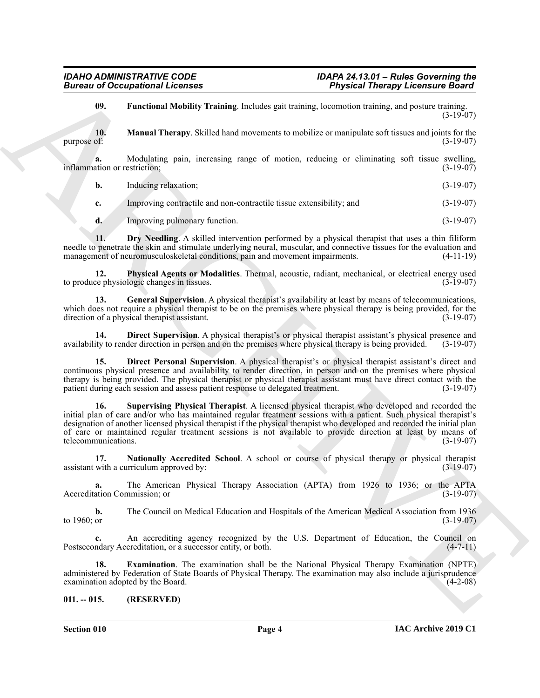<span id="page-3-7"></span><span id="page-3-5"></span>**09. Functional Mobility Training**. Includes gait training, locomotion training, and posture training.  $(3-19-07)$ 

**10.** Manual Therapy. Skilled hand movements to mobilize or manipulate soft tissues and joints for the purpose of: (3-19-07) purpose of:  $(3-19-07)$ 

**a.** Modulating pain, increasing range of motion, reducing or eliminating soft tissue swelling, (3-19-07) inflammation or restriction;

| <b>b.</b> | Inducing relaxation: | $(3-19-07)$ |
|-----------|----------------------|-------------|
|           |                      |             |

**c.** Improving contractile and non-contractile tissue extensibility; and (3-19-07)

<span id="page-3-9"></span><span id="page-3-3"></span>**d.** Improving pulmonary function. (3-19-07)

**11. Dry Needling**. A skilled intervention performed by a physical therapist that uses a thin filiform needle to penetrate the skin and stimulate underlying neural, muscular, and connective tissues for the evaluation and management of neuromusculoskeletal conditions, pain and movement impairments. (4-11-19)

**12. Physical Agents or Modalities**. Thermal, acoustic, radiant, mechanical, or electrical energy used to produce physiologic changes in tissues. (3-19-07)

<span id="page-3-6"></span>**13. General Supervision**. A physical therapist's availability at least by means of telecommunications, which does not require a physical therapist to be on the premises where physical therapy is being provided, for the direction of a physical therapist assistant. (3-19-07)

<span id="page-3-2"></span>**14. Direct Supervision**. A physical therapist's or physical therapist assistant's physical presence and availability to render direction in person and on the premises where physical therapy is being provided. (3-19-07)

<span id="page-3-10"></span><span id="page-3-1"></span>**15. Direct Personal Supervision**. A physical therapist's or physical therapist assistant's direct and continuous physical presence and availability to render direction, in person and on the premises where physical therapy is being provided. The physical therapist or physical therapist assistant must have direct contact with the patient during each session and assess patient response to delegated treatment. (3-19-07)

Given to Occupations I. Fermina with the same states and terminal methods and terminal methods and terminal methods and terminal methods and points ( $\mu$ ) and  $\mu$ ).<br>
The compute of the same states and the same states and **16. Supervising Physical Therapist**. A licensed physical therapist who developed and recorded the initial plan of care and/or who has maintained regular treatment sessions with a patient. Such physical therapist's designation of another licensed physical therapist if the physical therapist who developed and recorded the initial plan of care or maintained regular treatment sessions is not available to provide direction at least by means of telecommunications. (3-19-07)

<span id="page-3-8"></span>**17. Nationally Accredited School**. A school or course of physical therapy or physical therapist assistant with a curriculum approved by: (3-19-07)

**a.** The American Physical Therapy Association (APTA) from 1926 to 1936; or the APTA Accreditation Commission; or (3-19-07)

**b.** The Council on Medical Education and Hospitals of the American Medical Association from 1936 to 1960; or  $(3-19-07)$ 

**c.** An accrediting agency recognized by the U.S. Department of Education, the Council on Postsecondary Accreditation, or a successor entity, or both. (4-7-11)

<span id="page-3-4"></span>**18. Examination**. The examination shall be the National Physical Therapy Examination (NPTE) administered by Federation of State Boards of Physical Therapy. The examination may also include a jurisprudence examination adopted by the Board.

### <span id="page-3-0"></span>**011. -- 015. (RESERVED)**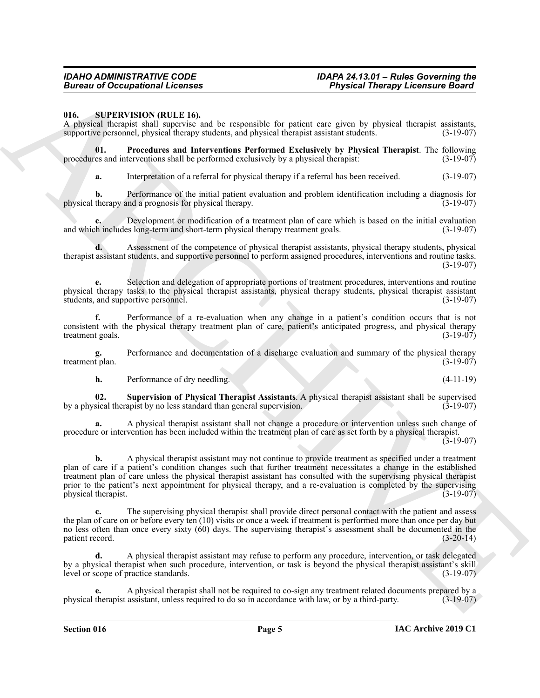## **Bureau of Occupational Licenses**

#### <span id="page-4-1"></span><span id="page-4-0"></span>**016. SUPERVISION (RULE 16).**

A physical therapist shall supervise and be responsible for patient care given by physical therapist assistants, supportive personnel, physical therapy students, and physical therapist assistant students. (3-19-07)

**01.** Procedures and Interventions Performed Exclusively by Physical Therapist. The following es and interventions shall be performed exclusively by a physical therapist: (3-19-07) procedures and interventions shall be performed exclusively by a physical therapist:

<span id="page-4-2"></span>**a.** Interpretation of a referral for physical therapy if a referral has been received.  $(3-19-07)$ 

**b.** Performance of the initial patient evaluation and problem identification including a diagnosis for physical therapy and a prognosis for physical therapy. (3-19-07)

**c.** Development or modification of a treatment plan of care which is based on the initial evaluation and which includes long-term and short-term physical therapy treatment goals. (3-19-07)

**d.** Assessment of the competence of physical therapist assistants, physical therapy students, physical therapist assistant students, and supportive personnel to perform assigned procedures, interventions and routine tasks. (3-19-07)

**e.** Selection and delegation of appropriate portions of treatment procedures, interventions and routine physical therapy tasks to the physical therapist assistants, physical therapy students, physical therapist assistant students, and supportive personnel.

**f.** Performance of a re-evaluation when any change in a patient's condition occurs that is not consistent with the physical therapy treatment plan of care, patient's anticipated progress, and physical therapy treatment goals. (3-19-07)

**g.** Performance and documentation of a discharge evaluation and summary of the physical therapy treatment plan. (3-19-07)

<span id="page-4-3"></span>**h.** Performance of dry needling. (4-11-19)

**02. Supervision of Physical Therapist Assistants**. A physical therapist assistant shall be supervised by a physical therapist by no less standard than general supervision.

**a.** A physical therapist assistant shall not change a procedure or intervention unless such change of procedure or intervention has been included within the treatment plan of care as set forth by a physical therapist.

(3-19-07)

Bureau of Occupations I. Leonards<br>
16. Supplies the main to supposite the procedure of the state and procedure and procedure and procedure and procedure and procedure and the state of the state of the state of the state o **b.** A physical therapist assistant may not continue to provide treatment as specified under a treatment plan of care if a patient's condition changes such that further treatment necessitates a change in the established treatment plan of care unless the physical therapist assistant has consulted with the supervising physical therapist prior to the patient's next appointment for physical therapy, and a re-evaluation is completed by the supervising physical therapist. (3-19-07)

**c.** The supervising physical therapist shall provide direct personal contact with the patient and assess the plan of care on or before every ten (10) visits or once a week if treatment is performed more than once per day but no less often than once every sixty (60) days. The supervising therapist's assessment shall be documented in the patient record. (3-20-14) patient record.

**d.** A physical therapist assistant may refuse to perform any procedure, intervention, or task delegated by a physical therapist when such procedure, intervention, or task is beyond the physical therapist assistant's skill level or scope of practice standards. (3-19-07)

**e.** A physical therapist shall not be required to co-sign any treatment related documents prepared by a physical therapist assistant, unless required to do so in accordance with law, or by a third-party. (3-19-07)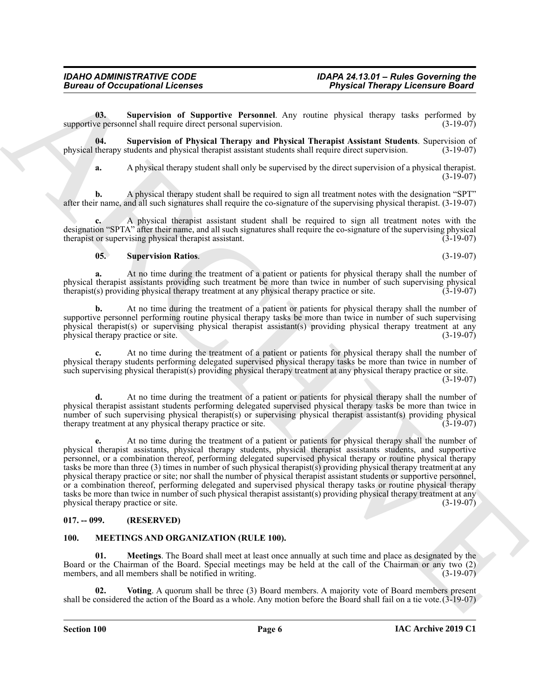<span id="page-5-6"></span>**03. Supervision of Supportive Personnel**. Any routine physical therapy tasks performed by supportive personnel shall require direct personal supervision. (3-19-07)

**04. Supervision of Physical Therapy and Physical Therapist Assistant Students**. Supervision of physical therapy students and physical therapist assistant students shall require direct supervision. (3-19-07)

<span id="page-5-5"></span>**a.** A physical therapy student shall only be supervised by the direct supervision of a physical therapist. (3-19-07)

**b.** A physical therapy student shall be required to sign all treatment notes with the designation "SPT" after their name, and all such signatures shall require the co-signature of the supervising physical therapist. (3-19-07)

**c.** A physical therapist assistant student shall be required to sign all treatment notes with the designation "SPTA" after their name, and all such signatures shall require the co-signature of the supervising physical therapist assistant. (3-19-07) therapist or supervising physical therapist assistant.

#### <span id="page-5-7"></span>**05. Supervision Ratios**. (3-19-07)

**a.** At no time during the treatment of a patient or patients for physical therapy shall the number of physical therapist assistants providing such treatment be more than twice in number of such supervising physical therapist(s) providing physical therapy treatment at any physical therapy practice or site. (3-19-07) therapist(s) providing physical therapy treatment at any physical therapy practice or site.

**b.** At no time during the treatment of a patient or patients for physical therapy shall the number of supportive personnel performing routine physical therapy tasks be more than twice in number of such supervising physical therapist(s) or supervising physical therapist assistant(s) providing physical therapy treatment at any physical therapy practice or site. (3-19-07)

**c.** At no time during the treatment of a patient or patients for physical therapy shall the number of physical therapy students performing delegated supervised physical therapy tasks be more than twice in number of such supervising physical therapist(s) providing physical therapy treatment at any physical therapy practice or site. (3-19-07)

**d.** At no time during the treatment of a patient or patients for physical therapy shall the number of physical therapist assistant students performing delegated supervised physical therapy tasks be more than twice in number of such supervising physical therapist(s) or supervising physical therapist assistant(s) providing physical therapy treatment at any physical therapy practice or site. (3-19-07) therapy treatment at any physical therapy practice or site.

Bureau of Occupations I Leonards<br>
(b), Super-Triangle de Super-Triangle Archives Constant Theoretics Constant Theoretics Constant Theoretics Constant Constant Constant Constant Constant Constant Constant Constant Constant **e.** At no time during the treatment of a patient or patients for physical therapy shall the number of physical therapist assistants, physical therapy students, physical therapist assistants students, and supportive personnel, or a combination thereof, performing delegated supervised physical therapy or routine physical therapy tasks be more than three (3) times in number of such physical therapist(s) providing physical therapy treatment at any physical therapy practice or site; nor shall the number of physical therapist assistant students or supportive personnel, or a combination thereof, performing delegated and supervised physical therapy tasks or routine physical therapy tasks be more than twice in number of such physical therapist assistant(s) providing physical therapy treatment at any<br>(3-19-07) (3-19-07) physical therapy practice or site.

### <span id="page-5-0"></span>**017. -- 099. (RESERVED)**

### <span id="page-5-2"></span><span id="page-5-1"></span>**100. MEETINGS AND ORGANIZATION (RULE 100).**

<span id="page-5-3"></span>**Meetings**. The Board shall meet at least once annually at such time and place as designated by the Board or the Chairman of the Board. Special meetings may be held at the call of the Chairman or any two (2) members, and all members shall be notified in writing. (3-19-07)

<span id="page-5-4"></span>**02. Voting**. A quorum shall be three (3) Board members. A majority vote of Board members present shall be considered the action of the Board as a whole. Any motion before the Board shall fail on a tie vote.(3-19-07)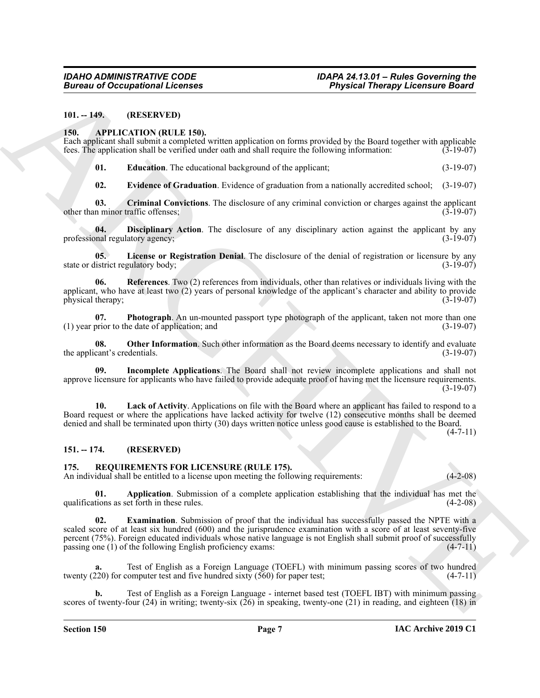#### <span id="page-6-0"></span>**101. -- 149. (RESERVED)**

#### <span id="page-6-4"></span><span id="page-6-1"></span>**150. APPLICATION (RULE 150).**

Each applicant shall submit a completed written application on forms provided by the Board together with applicable fees. The application shall be verified under oath and shall require the following information: (3-19-07)

<span id="page-6-7"></span>**01. Education**. The educational background of the applicant; (3-19-07)

<span id="page-6-8"></span><span id="page-6-6"></span><span id="page-6-5"></span>**02. Evidence of Graduation**. Evidence of graduation from a nationally accredited school; (3-19-07)

**03.** Criminal Convictions. The disclosure of any criminal conviction or charges against the applicant n minor traffic offenses; (3-19-07) other than minor traffic offenses;

**04. Disciplinary Action**. The disclosure of any disciplinary action against the applicant by any mal regulatory agency; (3-19-07) professional regulatory agency;

<span id="page-6-11"></span>**05. License or Registration Denial**. The disclosure of the denial of registration or licensure by any state or district regulatory body; (3-19-07)

<span id="page-6-14"></span>**06. References**. Two (2) references from individuals, other than relatives or individuals living with the applicant, who have at least two  $(2)$  years of personal knowledge of the applicant's character and ability to provide physical therapy;  $(3-19-07)$ physical therapy;

<span id="page-6-13"></span>**07. Photograph**. An un-mounted passport type photograph of the applicant, taken not more than one prior to the date of application: and (3-19-07)  $(1)$  year prior to the date of application; and

<span id="page-6-12"></span>**08. Other Information**. Such other information as the Board deems necessary to identify and evaluate cant's credentials. (3-19-07) the applicant's credentials.

<span id="page-6-9"></span>**09. Incomplete Applications**. The Board shall not review incomplete applications and shall not approve licensure for applicants who have failed to provide adequate proof of having met the licensure requirements.  $(3-19-07)$ 

<span id="page-6-10"></span>**10. Lack of Activity**. Applications on file with the Board where an applicant has failed to respond to a Board request or where the applications have lacked activity for twelve (12) consecutive months shall be deemed denied and shall be terminated upon thirty (30) days written notice unless good cause is established to the Board.

 $(4 - 7 - 11)$ 

#### <span id="page-6-2"></span>**151. -- 174. (RESERVED)**

#### <span id="page-6-15"></span><span id="page-6-3"></span>**175. REQUIREMENTS FOR LICENSURE (RULE 175).**

An individual shall be entitled to a license upon meeting the following requirements:  $(4-2-08)$ 

<span id="page-6-17"></span><span id="page-6-16"></span>**01. Application**. Submission of a complete application establishing that the individual has met the tions as set forth in these rules. (4-2-08) qualifications as set forth in these rules.

Given to Occupations I. Lemma<br>
10. (RESERVATION (RELE) SIN<br>
11.1-19.<br>
13. APPLICATION (RELE) SIN<br>
13. APPLICATION (RELE) SIN<br>
13. APPLICATION (RELE) SIN<br>
13. Lemma dialities complexing in provided by the Doort opposite vi **02. Examination**. Submission of proof that the individual has successfully passed the NPTE with a scaled score of at least six hundred (600) and the jurisprudence examination with a score of at least seventy-five percent (75%). Foreign educated individuals whose native language is not English shall submit proof of successfully passing one (1) of the following English proficiency exams:  $(4-7-11)$ 

**a.** Test of English as a Foreign Language (TOEFL) with minimum passing scores of two hundred twenty (220) for computer test and five hundred sixty  $(560)$  for paper test; (4-7-11)

**b.** Test of English as a Foreign Language - internet based test (TOEFL IBT) with minimum passing scores of twenty-four  $(24)$  in writing; twenty-six  $(26)$  in speaking, twenty-one  $(21)$  in reading, and eighteen  $(18)$  in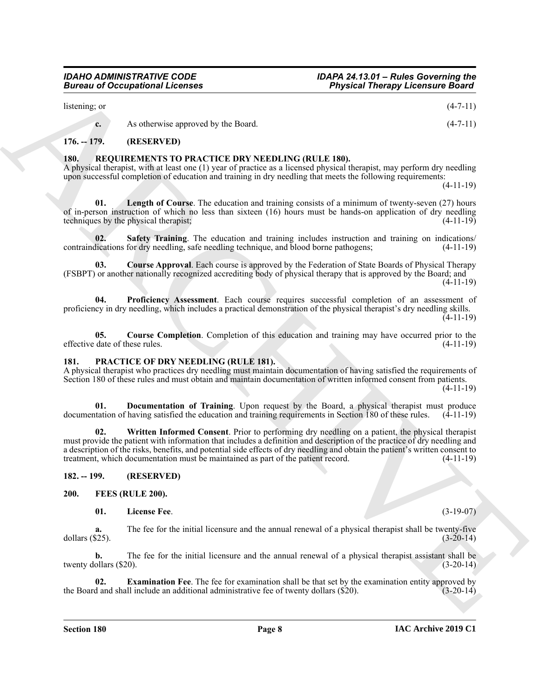(4-11-19) **04. Proficiency Assessment**. Each course requires successful completion of an assessment of proficiency in dry needling, which includes a practical demonstration of the physical therapist's dry needling skills.

(FSBPT) or another nationally recognized accrediting body of physical therapy that is approved by the Board; and

 $\frac{1}{2}$  listening; or  $\frac{4-7-11}{2}$ 

A physical therapist, with at least one (1) year of practice as a licensed physical therapist, may perform dry needling

of in-person instruction of which no less than sixteen (16) hours must be hands-on application of dry needling techniques by the physical therapist; (4-11-19)

upon successful completion of education and training in dry needling that meets the following requirements:

<span id="page-7-1"></span>**180. REQUIREMENTS TO PRACTICE DRY NEEDLING (RULE 180).**

<span id="page-7-11"></span>**c.** As otherwise approved by the Board. (4-7-11)

<span id="page-7-14"></span>**01. Length of Course**. The education and training consists of a minimum of twenty-seven (27) hours

<span id="page-7-16"></span>**02. Safety Training**. The education and training includes instruction and training on indications/<br>dications for dry needling, safe needling technique, and blood borne pathogens: (4-11-19)

<span id="page-7-15"></span><span id="page-7-12"></span>**03. Course Approval**. Each course is approved by the Federation of State Boards of Physical Therapy

<span id="page-7-13"></span>**05.** Course Completion. Completion of this education and training may have occurred prior to the date of these rules. (4-11-19) effective date of these rules.

#### <span id="page-7-8"></span><span id="page-7-2"></span>**181. PRACTICE OF DRY NEEDLING (RULE 181).**

A physical therapist who practices dry needling must maintain documentation of having satisfied the requirements of Section 180 of these rules and must obtain and maintain documentation of written informed consent from patients. (4-11-19)

<span id="page-7-10"></span><span id="page-7-9"></span>**01. Documentation of Training**. Upon request by the Board, a physical therapist must produce documentation of having satisfied the education and training requirements in Section 180 of these rules. (4-11-19)

Given to Occupations I License.<br>
Someone of the control supervality the Rend.<br>
According to the control supervality the Rend.<br>
The RESINENT TO PRACTICE DRY NEIDLING (RULE 180).<br>
1910. **IE. (ELESSINENTS)** TO PRACTICE DRY N **02. Written Informed Consent**. Prior to performing dry needling on a patient, the physical therapist must provide the patient with information that includes a definition and description of the practice of dry needling and a description of the risks, benefits, and potential side effects of dry needling and obtain the patient's written consent to treatment, which documentation must be maintained as part of the patient record. (4-11-19)

<span id="page-7-3"></span>**182. -- 199. (RESERVED)**

<span id="page-7-4"></span>**200. FEES (RULE 200).**

<span id="page-7-7"></span><span id="page-7-5"></span>**01. License Fee**. (3-19-07)

**a.** The fee for the initial licensure and the annual renewal of a physical therapist shall be twenty-five dollars (\$25). dollars (\$25).  $(3-20-14)$ 

**b.** The fee for the initial licensure and the annual renewal of a physical therapist assistant shall be twenty dollars (\$20). (3-20-14)

<span id="page-7-6"></span>**02. Examination Fee**. The fee for examination shall be that set by the examination entity approved by d and shall include an additional administrative fee of twenty dollars (\$20). (3-20-14) the Board and shall include an additional administrative fee of twenty dollars  $(\$20)$ .

(4-11-19)

(4-11-19)

<span id="page-7-0"></span>**176. -- 179. (RESERVED)**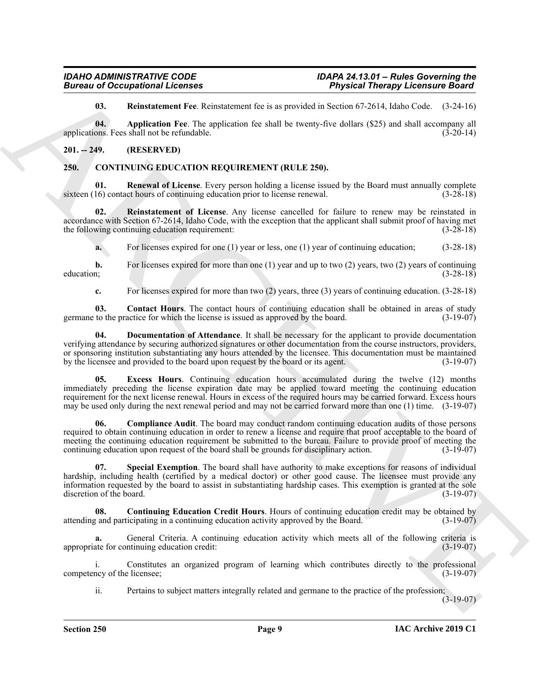<span id="page-8-12"></span><span id="page-8-11"></span>**03. Reinstatement Fee**. Reinstatement fee is as provided in Section 67-2614, Idaho Code. (3-24-16)

**04. Application Fee**. The application fee shall be twenty-five dollars (\$25) and shall accompany all applications. Fees shall not be refundable.  $(3-20-14)$ 

### <span id="page-8-0"></span>**201. -- 249. (RESERVED)**

#### <span id="page-8-2"></span><span id="page-8-1"></span>**250. CONTINUING EDUCATION REQUIREMENT (RULE 250).**

<span id="page-8-9"></span>**01. Renewal of License**. Every person holding a license issued by the Board must annually complete sixteen (16) contact hours of continuing education prior to license renewal. (3-28-18)

**02. Reinstatement of License**. Any license cancelled for failure to renew may be reinstated in accordance with Section 67-2614, Idaho Code, with the exception that the applicant shall submit proof of having met the following continuing education requirement: (3-28-18)

<span id="page-8-8"></span>**a.** For licenses expired for one (1) year or less, one (1) year of continuing education; (3-28-18)

**b.** For licenses expired for more than one (1) year and up to two (2) years, two (2) years of continuing education; (3-28-18)

<span id="page-8-6"></span><span id="page-8-4"></span>**c.** For licenses expired for more than two (2) years, three (3) years of continuing education. (3-28-18)

**03.** Contact Hours. The contact hours of continuing education shall be obtained in areas of study to the practice for which the license is issued as approved by the board. (3-19-07) germane to the practice for which the license is issued as approved by the board.

<span id="page-8-7"></span>**04. Documentation of Attendance**. It shall be necessary for the applicant to provide documentation verifying attendance by securing authorized signatures or other documentation from the course instructors, providers, or sponsoring institution substantiating any hours attended by the licensee. This documentation must be maintained by the licensee and provided to the board upon request by the board or its agent. (3-19-07)

**Example 20 Considerable 2** *Considerable 2 Considerable 2 Considerable 2 Considerable 2 Considerable 2* **<b>***Considerable 2 Considerable 2 Considerable 2 Considerable 2* **<b>***Considerable 2 Con* **05. Excess Hours**. Continuing education hours accumulated during the twelve (12) months immediately preceding the license expiration date may be applied toward meeting the continuing education requirement for the next license renewal. Hours in excess of the required hours may be carried forward. Excess hours may be used only during the next renewal period and may not be carried forward more than one (1) time. (3-19-07)

<span id="page-8-3"></span>**06. Compliance Audit**. The board may conduct random continuing education audits of those persons required to obtain continuing education in order to renew a license and require that proof acceptable to the board of meeting the continuing education requirement be submitted to the bureau. Failure to provide proof of meeting the continuing education upon request of the board shall be grounds for disciplinary action. (3-19-07) continuing education upon request of the board shall be grounds for disciplinary action.

<span id="page-8-10"></span>**07. Special Exemption**. The board shall have authority to make exceptions for reasons of individual hardship, including health (certified by a medical doctor) or other good cause. The licensee must provide any information requested by the board to assist in substantiating hardship cases. This exemption is granted at the sole discretion of the board. (3-19-07)

<span id="page-8-5"></span>**08. Continuing Education Credit Hours**. Hours of continuing education credit may be obtained by attending and participating in a continuing education activity approved by the Board. (3-19-07)

**a.** General Criteria. A continuing education activity which meets all of the following criteria is appropriate for continuing education credit: (3-19-07)

i. Constitutes an organized program of learning which contributes directly to the professional competency of the licensee; (3-19-07)

ii. Pertains to subject matters integrally related and germane to the practice of the profession;

 $(3-19-07)$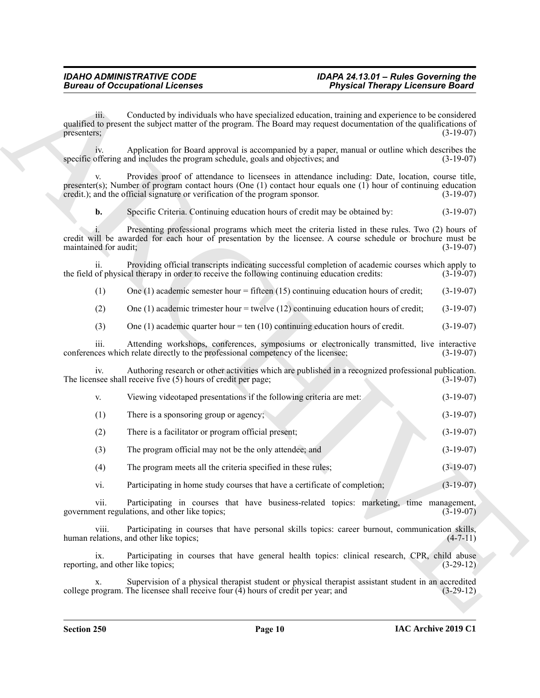| iii.<br>presenters;<br>1V.<br>specific offering and includes the program schedule, goals and objectives; and<br>V.<br>credit.); and the official signature or verification of the program sponsor.<br>b.<br>Specific Criteria. Continuing education hours of credit may be obtained by:<br>maintained for audit;<br>ii.<br>the field of physical therapy in order to receive the following continuing education credits:<br>(1)<br>One $(1)$ academic semester hour = fifteen $(15)$ continuing education hours of credit;<br>(2)<br>One $(1)$ academic trimester hour = twelve $(12)$ continuing education hours of credit;<br>(3)<br>One (1) academic quarter hour = ten (10) continuing education hours of credit.<br>111.<br>conferences which relate directly to the professional competency of the licensee;<br>iv.<br>The licensee shall receive five $(5)$ hours of credit per page;<br>Viewing videotaped presentations if the following criteria are met:<br>V.<br>There is a sponsoring group or agency;<br>(1)<br>(2)<br>There is a facilitator or program official present;<br>(3)<br>The program official may not be the only attendee; and<br>(4)<br>The program meets all the criteria specified in these rules;<br>Participating in home study courses that have a certificate of completion;<br>vi.<br>vii.<br>government regulations, and other like topics;<br>viii.<br>human relations, and other like topics;<br>ix.<br>reporting, and other like topics;<br>х.<br>college program. The licensee shall receive four $(4)$ hours of credit per year; and | Conducted by individuals who have specialized education, training and experience to be considered<br>qualified to present the subject matter of the program. The Board may request documentation of the qualifications of<br>Application for Board approval is accompanied by a paper, manual or outline which describes the<br>Provides proof of attendance to licensees in attendance including: Date, location, course title,<br>presenter(s); Number of program contact hours (One $(1)$ contact hour equals one $(1)$ hour of continuing education<br>Presenting professional programs which meet the criteria listed in these rules. Two (2) hours of<br>credit will be awarded for each hour of presentation by the licensee. A course schedule or brochure must be<br>Providing official transcripts indicating successful completion of academic courses which apply to<br>Attending workshops, conferences, symposiums or electronically transmitted, live interactive<br>Authoring research or other activities which are published in a recognized professional publication.<br>Participating in courses that have business-related topics: marketing, time management,<br>Participating in courses that have personal skills topics: career burnout, communication skills,<br>Participating in courses that have general health topics: clinical research, CPR, child abuse<br>Supervision of a physical therapist student or physical therapist assistant student in an accredited |  | <b>Bureau of Occupational Licenses</b> | <b>Physical Therapy Licensure Board</b> |             |
|-------------------------------------------------------------------------------------------------------------------------------------------------------------------------------------------------------------------------------------------------------------------------------------------------------------------------------------------------------------------------------------------------------------------------------------------------------------------------------------------------------------------------------------------------------------------------------------------------------------------------------------------------------------------------------------------------------------------------------------------------------------------------------------------------------------------------------------------------------------------------------------------------------------------------------------------------------------------------------------------------------------------------------------------------------------------------------------------------------------------------------------------------------------------------------------------------------------------------------------------------------------------------------------------------------------------------------------------------------------------------------------------------------------------------------------------------------------------------------------------------------------------------------------------------------------------------------|--------------------------------------------------------------------------------------------------------------------------------------------------------------------------------------------------------------------------------------------------------------------------------------------------------------------------------------------------------------------------------------------------------------------------------------------------------------------------------------------------------------------------------------------------------------------------------------------------------------------------------------------------------------------------------------------------------------------------------------------------------------------------------------------------------------------------------------------------------------------------------------------------------------------------------------------------------------------------------------------------------------------------------------------------------------------------------------------------------------------------------------------------------------------------------------------------------------------------------------------------------------------------------------------------------------------------------------------------------------------------------------------------------------------------------------------------------------------------------------------------|--|----------------------------------------|-----------------------------------------|-------------|
|                                                                                                                                                                                                                                                                                                                                                                                                                                                                                                                                                                                                                                                                                                                                                                                                                                                                                                                                                                                                                                                                                                                                                                                                                                                                                                                                                                                                                                                                                                                                                                               |                                                                                                                                                                                                                                                                                                                                                                                                                                                                                                                                                                                                                                                                                                                                                                                                                                                                                                                                                                                                                                                                                                                                                                                                                                                                                                                                                                                                                                                                                                  |  |                                        |                                         | $(3-19-07)$ |
|                                                                                                                                                                                                                                                                                                                                                                                                                                                                                                                                                                                                                                                                                                                                                                                                                                                                                                                                                                                                                                                                                                                                                                                                                                                                                                                                                                                                                                                                                                                                                                               |                                                                                                                                                                                                                                                                                                                                                                                                                                                                                                                                                                                                                                                                                                                                                                                                                                                                                                                                                                                                                                                                                                                                                                                                                                                                                                                                                                                                                                                                                                  |  |                                        |                                         | $(3-19-07)$ |
|                                                                                                                                                                                                                                                                                                                                                                                                                                                                                                                                                                                                                                                                                                                                                                                                                                                                                                                                                                                                                                                                                                                                                                                                                                                                                                                                                                                                                                                                                                                                                                               |                                                                                                                                                                                                                                                                                                                                                                                                                                                                                                                                                                                                                                                                                                                                                                                                                                                                                                                                                                                                                                                                                                                                                                                                                                                                                                                                                                                                                                                                                                  |  |                                        |                                         | $(3-19-07)$ |
|                                                                                                                                                                                                                                                                                                                                                                                                                                                                                                                                                                                                                                                                                                                                                                                                                                                                                                                                                                                                                                                                                                                                                                                                                                                                                                                                                                                                                                                                                                                                                                               |                                                                                                                                                                                                                                                                                                                                                                                                                                                                                                                                                                                                                                                                                                                                                                                                                                                                                                                                                                                                                                                                                                                                                                                                                                                                                                                                                                                                                                                                                                  |  |                                        |                                         | $(3-19-07)$ |
|                                                                                                                                                                                                                                                                                                                                                                                                                                                                                                                                                                                                                                                                                                                                                                                                                                                                                                                                                                                                                                                                                                                                                                                                                                                                                                                                                                                                                                                                                                                                                                               |                                                                                                                                                                                                                                                                                                                                                                                                                                                                                                                                                                                                                                                                                                                                                                                                                                                                                                                                                                                                                                                                                                                                                                                                                                                                                                                                                                                                                                                                                                  |  |                                        |                                         | $(3-19-07)$ |
|                                                                                                                                                                                                                                                                                                                                                                                                                                                                                                                                                                                                                                                                                                                                                                                                                                                                                                                                                                                                                                                                                                                                                                                                                                                                                                                                                                                                                                                                                                                                                                               |                                                                                                                                                                                                                                                                                                                                                                                                                                                                                                                                                                                                                                                                                                                                                                                                                                                                                                                                                                                                                                                                                                                                                                                                                                                                                                                                                                                                                                                                                                  |  |                                        |                                         | $(3-19-07)$ |
|                                                                                                                                                                                                                                                                                                                                                                                                                                                                                                                                                                                                                                                                                                                                                                                                                                                                                                                                                                                                                                                                                                                                                                                                                                                                                                                                                                                                                                                                                                                                                                               |                                                                                                                                                                                                                                                                                                                                                                                                                                                                                                                                                                                                                                                                                                                                                                                                                                                                                                                                                                                                                                                                                                                                                                                                                                                                                                                                                                                                                                                                                                  |  |                                        |                                         | $(3-19-07)$ |
|                                                                                                                                                                                                                                                                                                                                                                                                                                                                                                                                                                                                                                                                                                                                                                                                                                                                                                                                                                                                                                                                                                                                                                                                                                                                                                                                                                                                                                                                                                                                                                               |                                                                                                                                                                                                                                                                                                                                                                                                                                                                                                                                                                                                                                                                                                                                                                                                                                                                                                                                                                                                                                                                                                                                                                                                                                                                                                                                                                                                                                                                                                  |  |                                        |                                         | $(3-19-07)$ |
|                                                                                                                                                                                                                                                                                                                                                                                                                                                                                                                                                                                                                                                                                                                                                                                                                                                                                                                                                                                                                                                                                                                                                                                                                                                                                                                                                                                                                                                                                                                                                                               |                                                                                                                                                                                                                                                                                                                                                                                                                                                                                                                                                                                                                                                                                                                                                                                                                                                                                                                                                                                                                                                                                                                                                                                                                                                                                                                                                                                                                                                                                                  |  |                                        |                                         | $(3-19-07)$ |
|                                                                                                                                                                                                                                                                                                                                                                                                                                                                                                                                                                                                                                                                                                                                                                                                                                                                                                                                                                                                                                                                                                                                                                                                                                                                                                                                                                                                                                                                                                                                                                               |                                                                                                                                                                                                                                                                                                                                                                                                                                                                                                                                                                                                                                                                                                                                                                                                                                                                                                                                                                                                                                                                                                                                                                                                                                                                                                                                                                                                                                                                                                  |  |                                        |                                         | $(3-19-07)$ |
|                                                                                                                                                                                                                                                                                                                                                                                                                                                                                                                                                                                                                                                                                                                                                                                                                                                                                                                                                                                                                                                                                                                                                                                                                                                                                                                                                                                                                                                                                                                                                                               |                                                                                                                                                                                                                                                                                                                                                                                                                                                                                                                                                                                                                                                                                                                                                                                                                                                                                                                                                                                                                                                                                                                                                                                                                                                                                                                                                                                                                                                                                                  |  |                                        |                                         | $(3-19-07)$ |
|                                                                                                                                                                                                                                                                                                                                                                                                                                                                                                                                                                                                                                                                                                                                                                                                                                                                                                                                                                                                                                                                                                                                                                                                                                                                                                                                                                                                                                                                                                                                                                               |                                                                                                                                                                                                                                                                                                                                                                                                                                                                                                                                                                                                                                                                                                                                                                                                                                                                                                                                                                                                                                                                                                                                                                                                                                                                                                                                                                                                                                                                                                  |  |                                        |                                         | $(3-19-07)$ |
|                                                                                                                                                                                                                                                                                                                                                                                                                                                                                                                                                                                                                                                                                                                                                                                                                                                                                                                                                                                                                                                                                                                                                                                                                                                                                                                                                                                                                                                                                                                                                                               |                                                                                                                                                                                                                                                                                                                                                                                                                                                                                                                                                                                                                                                                                                                                                                                                                                                                                                                                                                                                                                                                                                                                                                                                                                                                                                                                                                                                                                                                                                  |  |                                        |                                         | $(3-19-07)$ |
|                                                                                                                                                                                                                                                                                                                                                                                                                                                                                                                                                                                                                                                                                                                                                                                                                                                                                                                                                                                                                                                                                                                                                                                                                                                                                                                                                                                                                                                                                                                                                                               |                                                                                                                                                                                                                                                                                                                                                                                                                                                                                                                                                                                                                                                                                                                                                                                                                                                                                                                                                                                                                                                                                                                                                                                                                                                                                                                                                                                                                                                                                                  |  |                                        |                                         | $(3-19-07)$ |
|                                                                                                                                                                                                                                                                                                                                                                                                                                                                                                                                                                                                                                                                                                                                                                                                                                                                                                                                                                                                                                                                                                                                                                                                                                                                                                                                                                                                                                                                                                                                                                               |                                                                                                                                                                                                                                                                                                                                                                                                                                                                                                                                                                                                                                                                                                                                                                                                                                                                                                                                                                                                                                                                                                                                                                                                                                                                                                                                                                                                                                                                                                  |  |                                        |                                         | $(3-19-07)$ |
|                                                                                                                                                                                                                                                                                                                                                                                                                                                                                                                                                                                                                                                                                                                                                                                                                                                                                                                                                                                                                                                                                                                                                                                                                                                                                                                                                                                                                                                                                                                                                                               |                                                                                                                                                                                                                                                                                                                                                                                                                                                                                                                                                                                                                                                                                                                                                                                                                                                                                                                                                                                                                                                                                                                                                                                                                                                                                                                                                                                                                                                                                                  |  |                                        |                                         | $(3-19-07)$ |
|                                                                                                                                                                                                                                                                                                                                                                                                                                                                                                                                                                                                                                                                                                                                                                                                                                                                                                                                                                                                                                                                                                                                                                                                                                                                                                                                                                                                                                                                                                                                                                               |                                                                                                                                                                                                                                                                                                                                                                                                                                                                                                                                                                                                                                                                                                                                                                                                                                                                                                                                                                                                                                                                                                                                                                                                                                                                                                                                                                                                                                                                                                  |  |                                        |                                         | $(3-19-07)$ |
|                                                                                                                                                                                                                                                                                                                                                                                                                                                                                                                                                                                                                                                                                                                                                                                                                                                                                                                                                                                                                                                                                                                                                                                                                                                                                                                                                                                                                                                                                                                                                                               |                                                                                                                                                                                                                                                                                                                                                                                                                                                                                                                                                                                                                                                                                                                                                                                                                                                                                                                                                                                                                                                                                                                                                                                                                                                                                                                                                                                                                                                                                                  |  |                                        |                                         | $(3-19-07)$ |
|                                                                                                                                                                                                                                                                                                                                                                                                                                                                                                                                                                                                                                                                                                                                                                                                                                                                                                                                                                                                                                                                                                                                                                                                                                                                                                                                                                                                                                                                                                                                                                               |                                                                                                                                                                                                                                                                                                                                                                                                                                                                                                                                                                                                                                                                                                                                                                                                                                                                                                                                                                                                                                                                                                                                                                                                                                                                                                                                                                                                                                                                                                  |  |                                        |                                         | $(4-7-11)$  |
|                                                                                                                                                                                                                                                                                                                                                                                                                                                                                                                                                                                                                                                                                                                                                                                                                                                                                                                                                                                                                                                                                                                                                                                                                                                                                                                                                                                                                                                                                                                                                                               |                                                                                                                                                                                                                                                                                                                                                                                                                                                                                                                                                                                                                                                                                                                                                                                                                                                                                                                                                                                                                                                                                                                                                                                                                                                                                                                                                                                                                                                                                                  |  |                                        |                                         | $(3-29-12)$ |
|                                                                                                                                                                                                                                                                                                                                                                                                                                                                                                                                                                                                                                                                                                                                                                                                                                                                                                                                                                                                                                                                                                                                                                                                                                                                                                                                                                                                                                                                                                                                                                               |                                                                                                                                                                                                                                                                                                                                                                                                                                                                                                                                                                                                                                                                                                                                                                                                                                                                                                                                                                                                                                                                                                                                                                                                                                                                                                                                                                                                                                                                                                  |  |                                        |                                         | $(3-29-12)$ |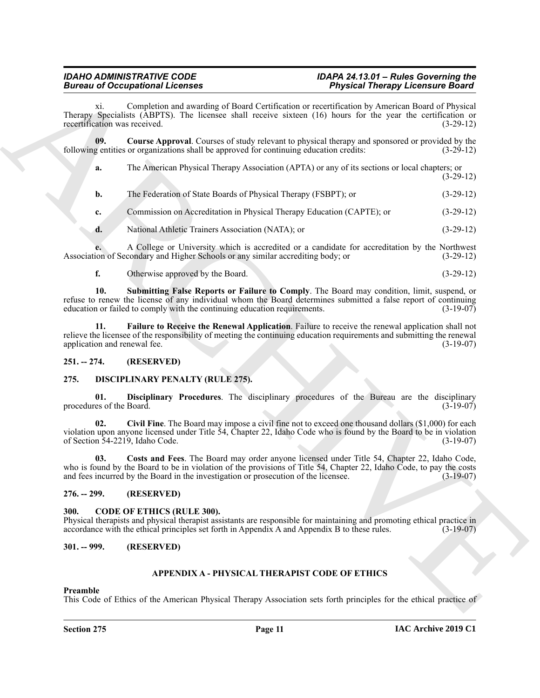<span id="page-10-7"></span>

|                                        | <b>Bureau of Occupational Licenses</b>                                                                                                                                                                                                                                                                     | <b>Physical Therapy Licensure Board</b> |
|----------------------------------------|------------------------------------------------------------------------------------------------------------------------------------------------------------------------------------------------------------------------------------------------------------------------------------------------------------|-----------------------------------------|
| Xi.<br>recertification was received.   | Completion and awarding of Board Certification or recertification by American Board of Physical<br>Therapy Specialists (ABPTS). The licensee shall receive sixteen (16) hours for the year the certification or                                                                                            | $(3-29-12)$                             |
| 09.                                    | <b>Course Approval.</b> Courses of study relevant to physical therapy and sponsored or provided by the<br>following entities or organizations shall be approved for continuing education credits:                                                                                                          | $(3-29-12)$                             |
| a.                                     | The American Physical Therapy Association (APTA) or any of its sections or local chapters; or                                                                                                                                                                                                              | $(3-29-12)$                             |
| b.                                     | The Federation of State Boards of Physical Therapy (FSBPT); or                                                                                                                                                                                                                                             | $(3-29-12)$                             |
| c.                                     | Commission on Accreditation in Physical Therapy Education (CAPTE); or                                                                                                                                                                                                                                      | $(3-29-12)$                             |
| d.                                     | National Athletic Trainers Association (NATA); or                                                                                                                                                                                                                                                          | $(3-29-12)$                             |
|                                        | A College or University which is accredited or a candidate for accreditation by the Northwest<br>Association of Secondary and Higher Schools or any similar accrediting body; or                                                                                                                           | $(3-29-12)$                             |
| f.                                     | Otherwise approved by the Board.                                                                                                                                                                                                                                                                           | $(3-29-12)$                             |
| 10.                                    | Submitting False Reports or Failure to Comply. The Board may condition, limit, suspend, or<br>refuse to renew the license of any individual whom the Board determines submitted a false report of continuing<br>education or failed to comply with the continuing education requirements.                  | $(3-19-07)$                             |
| 11.<br>application and renewal fee.    | Failure to Receive the Renewal Application. Failure to receive the renewal application shall not<br>relieve the licensee of the responsibility of meeting the continuing education requirements and submitting the renewal                                                                                 | $(3-19-07)$                             |
| $251. - 274.$                          | (RESERVED)                                                                                                                                                                                                                                                                                                 |                                         |
| 275.                                   | <b>DISCIPLINARY PENALTY (RULE 275).</b>                                                                                                                                                                                                                                                                    |                                         |
| 01.<br>procedures of the Board.        | Disciplinary Procedures. The disciplinary procedures of the Bureau are the disciplinary                                                                                                                                                                                                                    | $(3-19-07)$                             |
| 02.<br>of Section 54-2219, Idaho Code. | Civil Fine. The Board may impose a civil fine not to exceed one thousand dollars (\$1,000) for each<br>violation upon anyone licensed under Title 54, Chapter 22, Idaho Code who is found by the Board to be in violation                                                                                  | $(3-19-07)$                             |
| 03.                                    | Costs and Fees. The Board may order anyone licensed under Title 54, Chapter 22, Idaho Code,<br>who is found by the Board to be in violation of the provisions of Title 54, Chapter 22, Idaho Code, to pay the costs<br>and fees incurred by the Board in the investigation or prosecution of the licensee. | $(3-19-07)$                             |
| $276. - 299.$                          | (RESERVED)                                                                                                                                                                                                                                                                                                 |                                         |
| 300.                                   | <b>CODE OF ETHICS (RULE 300).</b><br>Physical therapists and physical therapist assistants are responsible for maintaining and promoting ethical practice in<br>accordance with the ethical principles set forth in Appendix A and Appendix B to these rules.                                              | $(3-19-07)$                             |
| $301. - 999.$                          | (RESERVED)                                                                                                                                                                                                                                                                                                 |                                         |
|                                        | APPENDIX A - PHYSICAL THERAPIST CODE OF ETHICS                                                                                                                                                                                                                                                             |                                         |
| Preamble                               |                                                                                                                                                                                                                                                                                                            |                                         |
|                                        | This Code of Ethics of the American Physical Therapy Association sets forth principles for the ethical practice of                                                                                                                                                                                         |                                         |

### <span id="page-10-9"></span><span id="page-10-8"></span><span id="page-10-0"></span>**251. -- 274. (RESERVED)**

### <span id="page-10-13"></span><span id="page-10-11"></span><span id="page-10-10"></span><span id="page-10-1"></span>**275. DISCIPLINARY PENALTY (RULE 275).**

### <span id="page-10-12"></span><span id="page-10-2"></span>**276. -- 299. (RESERVED)**

#### <span id="page-10-6"></span><span id="page-10-3"></span>**300. CODE OF ETHICS (RULE 300).**

#### <span id="page-10-4"></span>**301. -- 999. (RESERVED)**

### <span id="page-10-5"></span>**APPENDIX A - PHYSICAL THERAPIST CODE OF ETHICS**

#### **Preamble**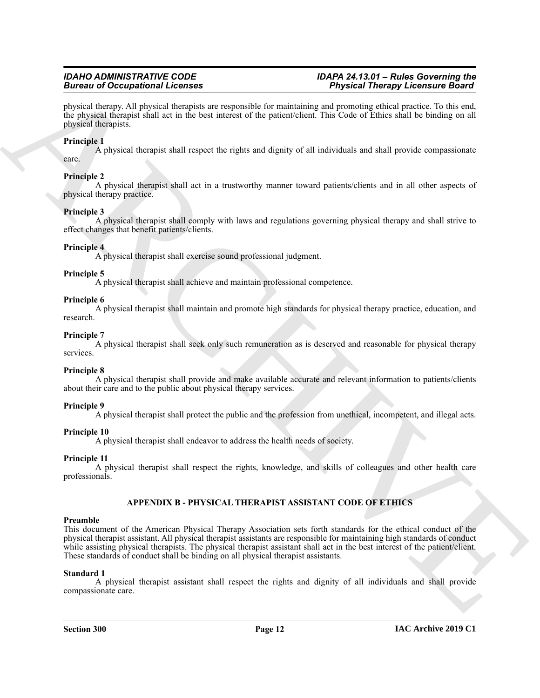physical therapy. All physical therapists are responsible for maintaining and promoting ethical practice. To this end, the physical therapist shall act in the best interest of the patient/client. This Code of Ethics shall be binding on all physical therapists.

### **Principle 1**

A physical therapist shall respect the rights and dignity of all individuals and shall provide compassionate care.

### **Principle 2**

A physical therapist shall act in a trustworthy manner toward patients/clients and in all other aspects of physical therapy practice.

#### **Principle 3**

A physical therapist shall comply with laws and regulations governing physical therapy and shall strive to effect changes that benefit patients/clients.

### **Principle 4**

A physical therapist shall exercise sound professional judgment.

#### **Principle 5**

A physical therapist shall achieve and maintain professional competence.

#### **Principle 6**

A physical therapist shall maintain and promote high standards for physical therapy practice, education, and research.

#### **Principle 7**

A physical therapist shall seek only such remuneration as is deserved and reasonable for physical therapy services.

#### **Principle 8**

A physical therapist shall provide and make available accurate and relevant information to patients/clients about their care and to the public about physical therapy services.

#### **Principle 9**

A physical therapist shall protect the public and the profession from unethical, incompetent, and illegal acts.

### **Principle 10**

A physical therapist shall endeavor to address the health needs of society.

### **Principle 11**

A physical therapist shall respect the rights, knowledge, and skills of colleagues and other health care professionals.

### <span id="page-11-0"></span>**APPENDIX B - PHYSICAL THERAPIST ASSISTANT CODE OF ETHICS**

### **Preamble**

**Einzion of Occupation Eliconics**<br>
Application and Computer and Application and Application and Application and the projection and the state of the state of the state of the state of the state of the state of the state of This document of the American Physical Therapy Association sets forth standards for the ethical conduct of the physical therapist assistant. All physical therapist assistants are responsible for maintaining high standards of conduct while assisting physical therapists. The physical therapist assistant shall act in the best interest of the patient/client. These standards of conduct shall be binding on all physical therapist assistants.

#### **Standard 1**

A physical therapist assistant shall respect the rights and dignity of all individuals and shall provide compassionate care.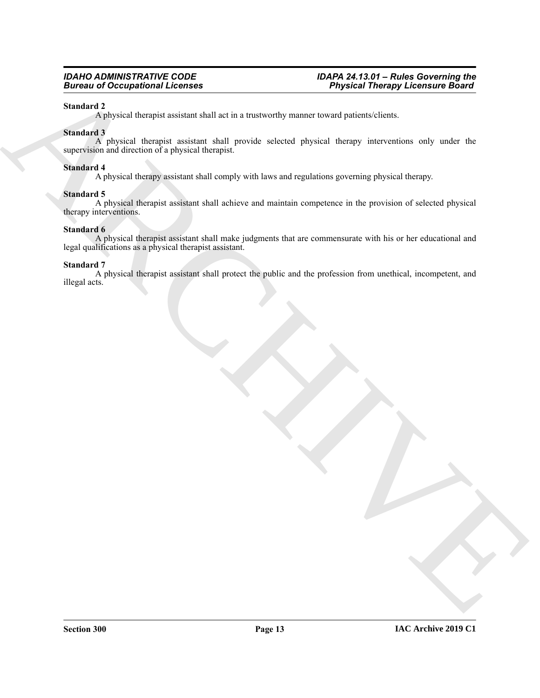#### **Standard 2**

A physical therapist assistant shall act in a trustworthy manner toward patients/clients.

#### **Standard 3**

Forces of Occupational Licensis<br>Statistics)<br>Statistics<br>Statistics<br>Statistics<br>Statistics<br>Statistics<br>Archives a decrease that the effect and the set in a true-work parameter area of particular and particular and<br>statistics a A physical therapist assistant shall provide selected physical therapy interventions only under the supervision and direction of a physical therapist.

#### **Standard 4**

A physical therapy assistant shall comply with laws and regulations governing physical therapy.

#### **Standard 5**

A physical therapist assistant shall achieve and maintain competence in the provision of selected physical therapy interventions.

#### **Standard 6**

A physical therapist assistant shall make judgments that are commensurate with his or her educational and legal qualifications as a physical therapist assistant.

#### **Standard 7**

A physical therapist assistant shall protect the public and the profession from unethical, incompetent, and illegal acts.